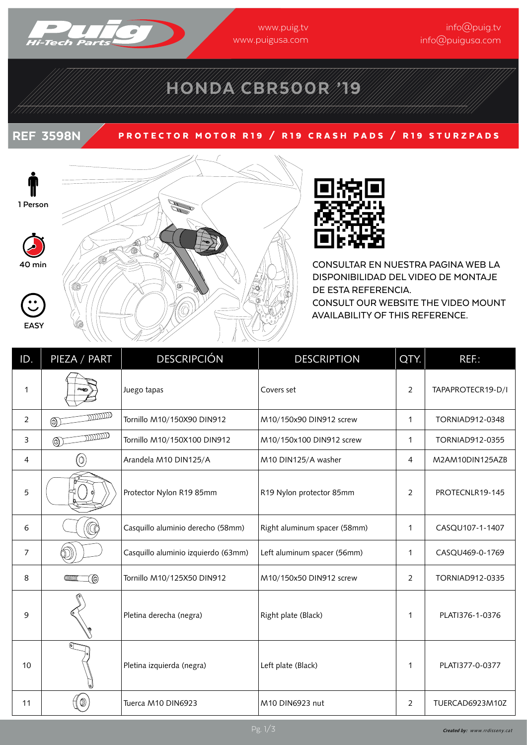

# HONDA CBR500R '19

### REF 3598N PROTECTOR MOTOR R19 / R19 CRASH PADS / R19 STURZPADS





CONSULTAR EN NUESTRA PAGINA WEB LA DISPONIBILIDAD DEL VIDEO DE MONTAJE DE ESTA REFERENCIA. CONSULT OUR WEBSITE THE VIDEO MOUNT AVAILABILITY OF THIS REFERENCE.

| ID.            | PIEZA / PART   | <b>DESCRIPCIÓN</b>                  | <b>DESCRIPTION</b>           | QTY.           | $REF$ :           |
|----------------|----------------|-------------------------------------|------------------------------|----------------|-------------------|
| 1              |                | Juego tapas                         | Covers set                   | $\overline{2}$ | TAPAPROTECR19-D/I |
| $\overline{2}$ | געננננו<br>◉   | Tornillo M10/150X90 DIN912          | M10/150x90 DIN912 screw      | $\mathbf{1}$   | TORNIAD912-0348   |
| 3              | mmm<br>⊚       | Tornillo M10/150X100 DIN912         | M10/150x100 DIN912 screw     | $\mathbf{1}$   | TORNIAD912-0355   |
| 4              | 0)             | Arandela M10 DIN125/A               | M10 DIN125/A washer          | 4              | M2AM10DIN125AZB   |
| 5              |                | Protector Nylon R19 85mm            | R19 Nylon protector 85mm     | $\overline{2}$ | PROTECNLR19-145   |
| 6              |                | Casquillo aluminio derecho (58mm)   | Right aluminum spacer (58mm) | $\mathbf{1}$   | CASQU107-1-1407   |
| $\overline{7}$ |                | Casquillo aluminio izquierdo (63mm) | Left aluminum spacer (56mm)  | $\mathbf{1}$   | CASQU469-0-1769   |
| 8              | ◉              | Tornillo M10/125X50 DIN912          | M10/150x50 DIN912 screw      | 2              | TORNIAD912-0335   |
| 9              |                | Pletina derecha (negra)             | Right plate (Black)          | $\mathbf{1}$   | PLATI376-1-0376   |
| 10             |                | Pletina izquierda (negra)           | Left plate (Black)           | $\mathbf{1}$   | PLATI377-0-0377   |
| 11             | $^{\circledR}$ | Tuerca M10 DIN6923                  | M10 DIN6923 nut              | $\overline{2}$ | TUERCAD6923M10Z   |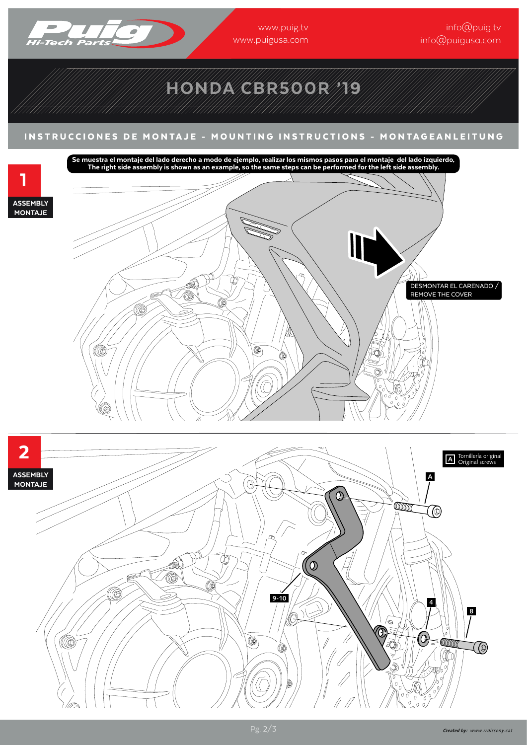

1

ASSEMBLY **MONTAJE** 

www.puig.tv www.puigusa.com

info@puig.tv info@puigusa.com

## HONDA CBR500R '19

#### INSTRUCCIONES DE MONTAJE - MOUNTING INSTRUCTIONS - MONTAGEANLEITUNG INSTRUCCIONES DE MONTAJE - MOUNTING INSTRUCTIONS - MONTAGEANLEITUNG

.<br>Se muestra el montaje del lado derecho a modo de ejemplo, realizar los mismos pasos para el montaje del lado izquierdo.<br>The right side assembly is shown as an example, so the same steps can be performed for the left side